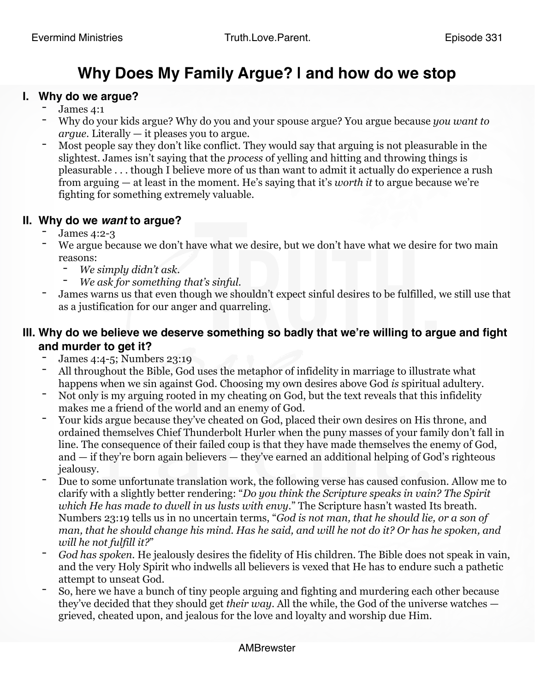# **Why Does My Family Argue? | and how do we stop**

#### **I. Why do we argue?**

- James 4:1
- Why do your kids argue? Why do you and your spouse argue? You argue because *you want to argue*. Literally — it pleases you to argue.
- Most people say they don't like conflict. They would say that arguing is not pleasurable in the slightest. James isn't saying that the *process* of yelling and hitting and throwing things is pleasurable . . . though I believe more of us than want to admit it actually do experience a rush from arguing — at least in the moment. He's saying that it's *worth it* to argue because we're fighting for something extremely valuable.

# **II. Why do we** *want* **to argue?** - James 4:2-3

- 
- We argue because we don't have what we desire, but we don't have what we desire for two main reasons:
	- *We simply didn't ask*.
	- *We ask for something that's sinful*.
- James warns us that even though we shouldn't expect sinful desires to be fulfilled, we still use that as a justification for our anger and quarreling.

# **III. Why do we believe we deserve something so badly that we're willing to argue and fight and murder to get it?**

- 
- James 4:4-5; Numbers 23:19<br>All throughout the Bible, God uses the metaphor of infidelity in marriage to illustrate what happens when we sin against God. Choosing my own desires above God *is* spiritual adultery.
- Not only is my arguing rooted in my cheating on God, but the text reveals that this infidelity makes me a friend of the world and an enemy of God.
- Your kids argue because they've cheated on God, placed their own desires on His throne, and ordained themselves Chief Thunderbolt Hurler when the puny masses of your family don't fall in line. The consequence of their failed coup is that they have made themselves the enemy of God, and — if they're born again believers — they've earned an additional helping of God's righteous
- jealousy.<br>Due to some unfortunate translation work, the following verse has caused confusion. Allow me to clarify with a slightly better rendering: "*Do you think the Scripture speaks in vain? The Spirit which He has made to dwell in us lusts with envy*." The Scripture hasn't wasted Its breath. Numbers 23:19 tells us in no uncertain terms, "*God is not man, that he should lie, or a son of man, that he should change his mind. Has he said, and will he not do it? Or has he spoken, and will he not fulfill it?*"
- *God has spoken*. He jealously desires the fidelity of His children. The Bible does not speak in vain, and the very Holy Spirit who indwells all believers is vexed that He has to endure such a pathetic attempt to unseat God.
- So, here we have a bunch of tiny people arguing and fighting and murdering each other because they've decided that they should get *their way*. All the while, the God of the universe watches grieved, cheated upon, and jealous for the love and loyalty and worship due Him.

#### AMBrewster